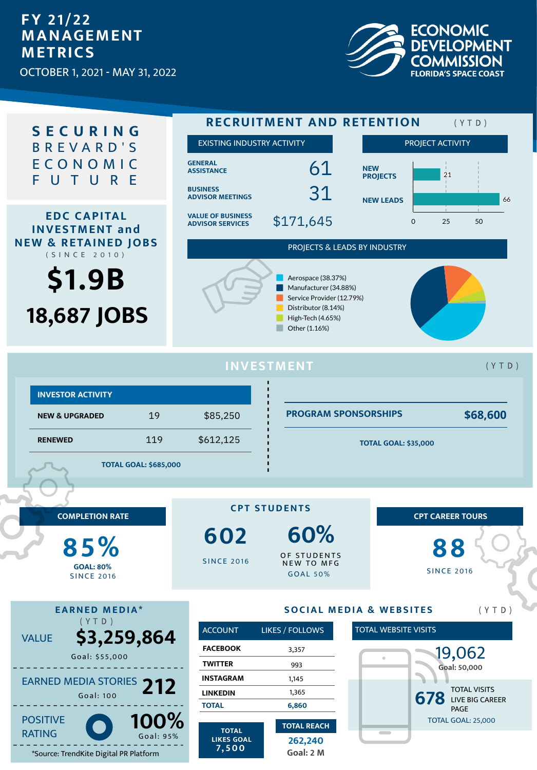OCTOBER 1, 2021 - MAY 31, 2022



## **FY 21/22 MANAGEMENT METRICS**

**EDC CAPITAL INVESTMENT and NEW & RETAINED JOBS** ( S I N C E 2 0 1 0 )

# **\$1.9B 18,687 JOBS**



- Aerospace (38.37%) Manufacturer (34.88%) Service Provider (12.79%) Distributor (8.14%) High-Tech (4.65%)
- Other (1.16%)



#### **RECRUITMENT AND RETENTION** EXISTING INDUSTRY ACTIVITY 31 ( Y T D ) 61 PROJECT ACTIVITY 21 66 New Projects **PROJECTS** New Leads **NEW LEADS** 0 25 50 **GENERAL ASSISTANCE BUSINESS ADVISOR MEETINGS NEW VALUE OF BUSINESS ADVISOR SERVICES** \$171,645

|                        | INVESTMENT                                                                 |                     |                                            |                                                     |                                                                        | YTD |
|------------------------|----------------------------------------------------------------------------|---------------------|--------------------------------------------|-----------------------------------------------------|------------------------------------------------------------------------|-----|
|                        | <b>INVESTOR ACTIVITY</b>                                                   |                     |                                            |                                                     |                                                                        |     |
|                        | <b>NEW &amp; UPGRADED</b>                                                  | 19                  | \$85,250                                   |                                                     | <b>PROGRAM SPONSORSHIPS</b><br>\$68,600<br><b>TOTAL GOAL: \$35,000</b> |     |
|                        | <b>RENEWED</b>                                                             | 119                 | \$612,125                                  |                                                     |                                                                        |     |
|                        | <b>TOTAL GOAL: \$685,000</b>                                               |                     |                                            |                                                     |                                                                        |     |
|                        |                                                                            |                     |                                            |                                                     |                                                                        |     |
| <b>COMPLETION RATE</b> |                                                                            | <b>CPT STUDENTS</b> |                                            | <b>CPT CAREER TOURS</b>                             |                                                                        |     |
|                        | 85%<br><b>GOAL: 80%</b><br><b>SINCE 2016</b>                               |                     | 602<br><b>SINCE 2016</b>                   | 60%<br>OF STUDENTS<br>NEW TO MFG<br><b>GOAL 50%</b> | 88<br><b>SINCE 2016</b>                                                |     |
|                        | <b>EARNED MEDIA*</b><br>YTD)<br>\$3,259,864<br><b>VALUE</b>                |                     | SOCIAL MEDIA & WEBSITES<br>YTD             |                                                     |                                                                        |     |
|                        |                                                                            |                     | <b>ACCOUNT</b>                             | LIKES / FOLLOWS                                     | <b>TOTAL WEBSITE VISITS</b>                                            |     |
|                        | Goal: \$55,000                                                             |                     | <b>FACEBOOK</b>                            | 3,357                                               | 19,062                                                                 |     |
|                        |                                                                            |                     | <b>TWITTER</b>                             | 993                                                 | <b>Goal: 50,000</b>                                                    |     |
|                        | EARNED MEDIA STORIES 212                                                   |                     | <b>INSTAGRAM</b>                           | 1,145                                               | <b>TOTAL VISITS</b>                                                    |     |
|                        | <b>Goal: 100</b>                                                           |                     | <b>LINKEDIN</b><br><b>TOTAL</b>            | 1,365<br>6,860                                      | 678<br><b>LIVE BIG CAREER</b>                                          |     |
|                        | <b>POSITIVE</b><br><b>RATING</b><br>*Source: TrendKite Digital PR Platform | 100%<br>Goal: 95%   | <b>TOTAL</b><br><b>LIKES GOAL</b><br>7,500 | <b>TOTAL REACH</b><br>262,240<br>Goal: 2 M          | <b>PAGE</b><br><b>TOTAL GOAL: 25,000</b>                               |     |

PROJECTS & LEADS BY INDUSTRY

E C O N O M I C **S E C U R I N G** B R E V A R D ' S F U T U R E